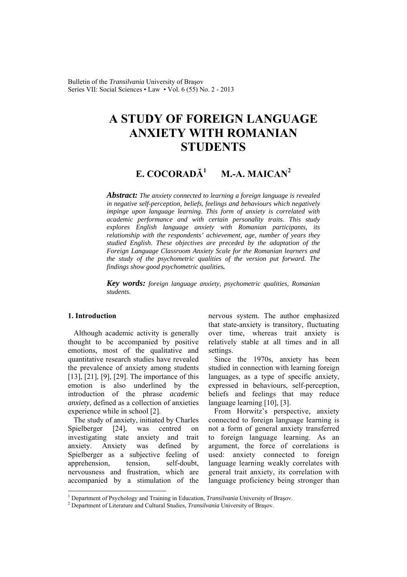Bulletin of the *Transilvania* University of Braşov Series VII: Social Sciences • Law • Vol. 6 (55) No. 2 - 2013

# **A STUDY OF FOREIGN LANGUAGE ANXIETY WITH ROMANIAN STUDENTS**

#### **E. COCORADĂ<sup>1</sup> M.-A. MAICAN<sup>2</sup>**

*Abstract: The anxiety connected to learning a foreign language is revealed in negative self-perception, beliefs, feelings and behaviours which negatively impinge upon language learning. This form of anxiety is correlated with academic performance and with certain personality traits. This study explores English language anxiety with Romanian participants, its relationship with the respondents' achievement, age, number of years they studied English. These objectives are preceded by the adaptation of the Foreign Language Classroom Anxiety Scale for the Romanian learners and the study of the psychometric qualities of the version put forward. The findings show good psychometric qualities.*

*Key words: foreign language anxiety, psychometric qualities, Romanian students.*

### **1. Introduction**

 $\overline{a}$ 

Although academic activity is generally thought to be accompanied by positive emotions, most of the qualitative and quantitative research studies have revealed the prevalence of anxiety among students [13], [21], [9], [29]. The importance of this emotion is also underlined by the introduction of the phrase *academic anxiety,* defined as a collection of anxieties experience while in school [2].

The study of anxiety, initiated by Charles Spielberger [24], was centred on investigating state anxiety and trait anxiety. Anxiety was defined by Spielberger as a subjective feeling of apprehension, tension, self-doubt, nervousness and frustration, which are accompanied by a stimulation of the

nervous system. The author emphasized that state-anxiety is transitory, fluctuating over time, whereas trait anxiety is relatively stable at all times and in all settings.

Since the 1970s, anxiety has been studied in connection with learning foreign languages, as a type of specific anxiety, expressed in behaviours, self-perception, beliefs and feelings that may reduce language learning [10], [3].

From Horwitz's perspective, anxiety connected to foreign language learning is not a form of general anxiety transferred to foreign language learning. As an argument, the force of correlations is used: anxiety connected to foreign language learning weakly correlates with general trait anxiety, its correlation with language proficiency being stronger than

<sup>&</sup>lt;sup>1</sup> Department of Psychology and Training in Education, *Transilvania* University of Braşov.<br><sup>2</sup> Department of Literature and Cultural Studies, *Transilvania* University of Brasov.

<sup>&</sup>lt;sup>2</sup> Department of Literature and Cultural Studies, *Transilvania* University of Brașov.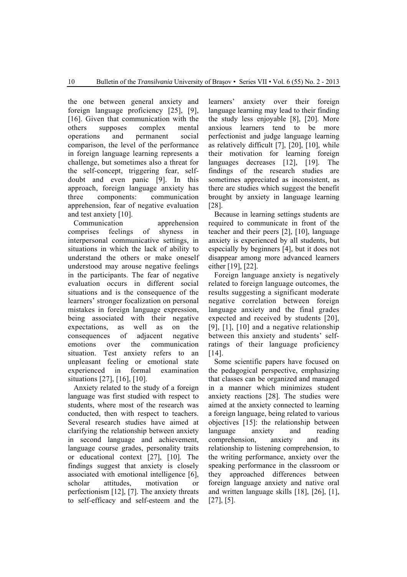the one between general anxiety and foreign language proficiency [25], [9], [16]. Given that communication with the others supposes complex mental operations and permanent social comparison, the level of the performance in foreign language learning represents a challenge, but sometimes also a threat for the self-concept, triggering fear, selfdoubt and even panic [9]. In this approach, foreign language anxiety has three components: communication apprehension, fear of negative evaluation and test anxiety [10].

Communication apprehension comprises feelings of shyness in interpersonal communicative settings, in situations in which the lack of ability to understand the others or make oneself understood may arouse negative feelings in the participants. The fear of negative evaluation occurs in different social situations and is the consequence of the learners' stronger focalization on personal mistakes in foreign language expression, being associated with their negative expectations, as well as on the consequences of adjacent negative emotions over the communication situation. Test anxiety refers to an unpleasant feeling or emotional state experienced in formal examination situations [27], [16], [10].

Anxiety related to the study of a foreign language was first studied with respect to students, where most of the research was conducted, then with respect to teachers. Several research studies have aimed at clarifying the relationship between anxiety in second language and achievement, language course grades, personality traits or educational context [27], [10]. The findings suggest that anxiety is closely associated with emotional intelligence [6], scholar attitudes, motivation or perfectionism [12], [7]. The anxiety threats to self-efficacy and self-esteem and the

learners' anxiety over their foreign language learning may lead to their finding the study less enjoyable [8], [20]. More anxious learners tend to be more perfectionist and judge language learning as relatively difficult [7], [20], [10], while their motivation for learning foreign languages decreases [12], [19]. The findings of the research studies are sometimes appreciated as inconsistent, as there are studies which suggest the benefit brought by anxiety in language learning [28].

Because in learning settings students are required to communicate in front of the teacher and their peers [2], [10], language anxiety is experienced by all students, but especially by beginners [4], but it does not disappear among more advanced learners either [19], [22].

Foreign language anxiety is negatively related to foreign language outcomes, the results suggesting a significant moderate negative correlation between foreign language anxiety and the final grades expected and received by students [20], [9], [1], [10] and a negative relationship between this anxiety and students' selfratings of their language proficiency [14].

Some scientific papers have focused on the pedagogical perspective, emphasizing that classes can be organized and managed in a manner which minimizes student anxiety reactions [28]. The studies were aimed at the anxiety connected to learning a foreign language, being related to various objectives [15]: the relationship between language anxiety and reading comprehension, anxiety and its relationship to listening comprehension, to the writing performance, anxiety over the speaking performance in the classroom or they approached differences between foreign language anxiety and native oral and written language skills [18], [26], [1], [27], [5].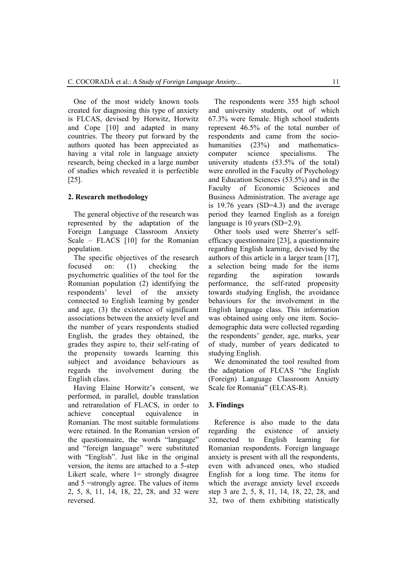One of the most widely known tools created for diagnosing this type of anxiety is FLCAS, devised by Horwitz, Horwitz and Cope [10] and adapted in many countries. The theory put forward by the authors quoted has been appreciated as having a vital role in language anxiety research, being checked in a large number of studies which revealed it is perfectible [25].

#### **2. Research methodology**

The general objective of the research was represented by the adaptation of the Foreign Language Classroom Anxiety Scale – FLACS [10] for the Romanian population.

The specific objectives of the research focused on: (1) checking the psychometric qualities of the tool for the Romanian population (2) identifying the respondents' level of the anxiety connected to English learning by gender and age, (3) the existence of significant associations between the anxiety level and the number of years respondents studied English, the grades they obtained, the grades they aspire to, their self-rating of the propensity towards learning this subject and avoidance behaviours as regards the involvement during the English class.

Having Elaine Horwitz's consent, we performed, in parallel, double translation and retranslation of FLACS, in order to achieve conceptual equivalence in Romanian. The most suitable formulations were retained. In the Romanian version of the questionnaire, the words "language" and "foreign language" were substituted with "English". Just like in the original version, the items are attached to a 5-step Likert scale, where  $1=$  strongly disagree and 5 =strongly agree. The values of items 2, 5, 8, 11, 14, 18, 22, 28, and 32 were reversed.

The respondents were 355 high school and university students, out of which 67.3% were female. High school students represent 46.5% of the total number of respondents and came from the sociohumanities (23%) and mathematicscomputer science specialisms. The university students (53.5% of the total) were enrolled in the Faculty of Psychology and Education Sciences (53.5%) and in the Faculty of Economic Sciences and Business Administration. The average age is 19.76 years (SD=4.3) and the average period they learned English as a foreign language is 10 years (SD=2.9).

Other tools used were Sherrer's selfefficacy questionnaire [23], a questionnaire regarding English learning, devised by the authors of this article in a larger team [17], a selection being made for the items regarding the aspiration towards performance, the self-rated propensity towards studying English, the avoidance behaviours for the involvement in the English language class. This information was obtained using only one item. Sociodemographic data were collected regarding the respondents' gender, age, marks, year of study, number of years dedicated to studying English.

We denominated the tool resulted from the adaptation of FLCAS "the English (Foreign) Language Classroom Anxiety Scale for Romania" (ELCAS-R).

#### **3. Findings**

Reference is also made to the data regarding the existence of anxiety connected to English learning for Romanian respondents. Foreign language anxiety is present with all the respondents, even with advanced ones, who studied English for a long time. The items for which the average anxiety level exceeds step 3 are 2, 5, 8, 11, 14, 18, 22, 28, and 32, two of them exhibiting statistically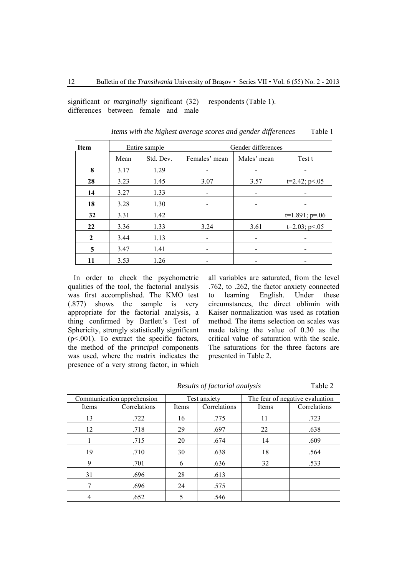significant or *marginally* significant (32) differences between female and male respondents (Table 1).

| <b>Item</b>  |      | Entire sample |                              | Gender differences           |                  |  |  |
|--------------|------|---------------|------------------------------|------------------------------|------------------|--|--|
|              | Mean | Std. Dev.     | Females' mean                | Males' mean                  | Test t           |  |  |
| 8            | 3.17 | 1.29          |                              | -                            |                  |  |  |
| 28           | 3.23 | 1.45          | 3.07                         | 3.57                         | $t=2.42; p<.05$  |  |  |
| 14           | 3.27 | 1.33          | $\qquad \qquad \blacksquare$ |                              |                  |  |  |
| 18           | 3.28 | 1.30          | -                            | -                            |                  |  |  |
| 32           | 3.31 | 1.42          |                              |                              | $t=1.891; p=.06$ |  |  |
| 22           | 3.36 | 1.33          | 3.24                         | 3.61                         | $t=2.03; p<.05$  |  |  |
| $\mathbf{2}$ | 3.44 | 1.13          | $\overline{\phantom{a}}$     | $\qquad \qquad \blacksquare$ |                  |  |  |
| 5            | 3.47 | 1.41          |                              |                              |                  |  |  |
| 11           | 3.53 | 1.26          | -                            |                              |                  |  |  |

*Items with the highest average scores and gender differences* Table 1

In order to check the psychometric qualities of the tool, the factorial analysis was first accomplished. The KMO test (.877) shows the sample is very appropriate for the factorial analysis, a thing confirmed by Bartlett's Test of Sphericity, strongly statistically significant  $(p<.001)$ . To extract the specific factors, the method of the *principal c*omponents was used, where the matrix indicates the presence of a very strong factor, in which

all variables are saturated, from the level .762, to .262, the factor anxiety connected to learning English. Under these circumstances, the direct oblimin with Kaiser normalization was used as rotation method. The items selection on scales was made taking the value of 0.30 as the critical value of saturation with the scale. The saturations for the three factors are presented in Table 2.

*Results of factorial analysis* Table 2

| Communication apprehension |              | Test anxiety |                       | The fear of negative evaluation |              |  |
|----------------------------|--------------|--------------|-----------------------|---------------------------------|--------------|--|
| Items                      | Correlations | Items        | Correlations<br>Items |                                 | Correlations |  |
| 13                         | .722         | 16           | .775                  | 11                              | .723         |  |
| 12                         | .718         | 29           | .697                  | 22                              | .638         |  |
|                            | .715         | 20           | .674                  | 14                              | .609         |  |
| 19                         | .710         | 30           | .638                  | 18                              | .564         |  |
| 9                          | .701         | 6            | .636                  | 32                              | .533         |  |
| 31                         | .696         | 28           | .613                  |                                 |              |  |
| 7                          | .696         | 24           | .575                  |                                 |              |  |
| 4                          | .652         |              | .546                  |                                 |              |  |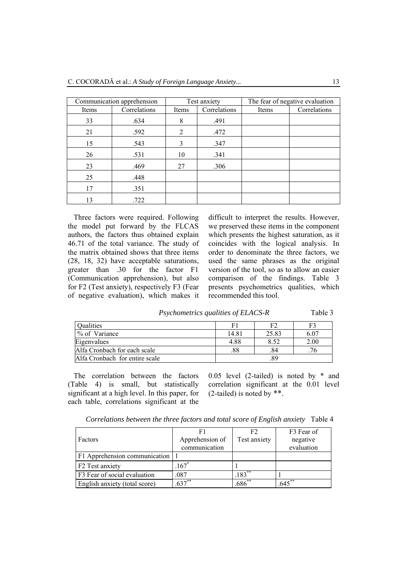| Communication apprehension |              |       | Test anxiety | The fear of negative evaluation |              |  |
|----------------------------|--------------|-------|--------------|---------------------------------|--------------|--|
| Items                      | Correlations | Items | Correlations | Items                           | Correlations |  |
| 33                         | .634         | 8     | .491         |                                 |              |  |
| 21                         | .592         | 2     | .472         |                                 |              |  |
| 15                         | .543         | 3     | .347         |                                 |              |  |
| 26                         | .531         | 10    | .341         |                                 |              |  |
| 23                         | .469         | 27    | .306         |                                 |              |  |
| 25                         | .448         |       |              |                                 |              |  |
| 17                         | .351         |       |              |                                 |              |  |
| 13                         | .722         |       |              |                                 |              |  |

Three factors were required. Following the model put forward by the FLCAS authors, the factors thus obtained explain 46.71 of the total variance. The study of the matrix obtained shows that three items (28, 18, 32) have acceptable saturations, greater than .30 for the factor F1 (Communication apprehension), but also for F2 (Test anxiety), respectively F3 (Fear of negative evaluation), which makes it

difficult to interpret the results. However, we preserved these items in the component which presents the highest saturation, as it coincides with the logical analysis. In order to denominate the three factors, we used the same phrases as the original version of the tool, so as to allow an easier comparison of the findings. Table 3 presents psychometrics qualities, which recommended this tool.

| Psychometrics qualities of ELACS-R |  | Table 3 |
|------------------------------------|--|---------|
|------------------------------------|--|---------|

| Qualities                      | E.    | F2    | F3   |
|--------------------------------|-------|-------|------|
| % of Variance                  | 14.81 | 25.83 | 6.07 |
| Eigenvalues                    | 4.88  | 8.52  | 2.00 |
| Alfa Cronbach for each scale   | .88   | .84   | 76   |
| Alfa Cronbach for entire scale |       | .89   |      |

The correlation between the factors (Table 4) is small, but statistically significant at a high level. In this paper, for each table, correlations significant at the 0.05 level (2-tailed) is noted by \* and correlation significant at the 0.01 level (2-tailed) is noted by \*\*.

*Correlations between the three factors and total score of English anxiety* Table 4

|                               | F1                | F <sub>2</sub> | F <sub>3</sub> Fear of |
|-------------------------------|-------------------|----------------|------------------------|
| Factors                       | Apprehension of   | Test anxiety   | negative               |
|                               | communication     |                | evaluation             |
| F1 Apprehension communication |                   |                |                        |
| F <sub>2</sub> Test anxiety   | $167*$            |                |                        |
| F3 Fear of social evaluation  | .087              | $.183**$       |                        |
| English anxiety (total score) | $\sqrt{637}^{**}$ | $.686^{**}$    | $.645**$               |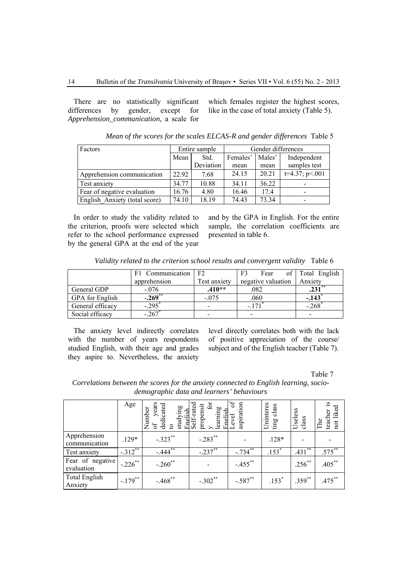There are no statistically significant differences by gender, except for *Apprehension\_communication*, a scale for which females register the highest scores, like in the case of total anxiety (Table 5).

| Factors                       | Entire sample |           |          | Gender differences |                  |  |
|-------------------------------|---------------|-----------|----------|--------------------|------------------|--|
|                               | Mean          | Std.      | Females' | Males'             | Independent      |  |
|                               |               | Deviation | mean     | mean               | samples test     |  |
| Apprehension communication    | 22.92         | 7.68      | 24.15    | 20.21              | $t=4.37; p<.001$ |  |
| <b>Test anxiety</b>           | 34.77         | 10.88     | 34.11    | 36.22              |                  |  |
| Fear of negative evaluation   | 16.76         | 4.80      | 16.46    | 17.4               |                  |  |
| English Anxiety (total score) | 74.10         | 18.19     | 74.43    | 73.34              |                  |  |

*Mean of the scores for the scales ELCAS-R and gender differences* Table 5

In order to study the validity related to the criterion, proofs were selected which refer to the school performance expressed by the general GPA at the end of the year and by the GPA in English. For the entire sample, the correlation coefficients are presented in table 6.

*Validity related to the criterion school results and convergent validity* Table 6

|                  | F1 Communication      | F <sub>2</sub> | F <sub>3</sub><br>of 1<br>Fear | Total English |
|------------------|-----------------------|----------------|--------------------------------|---------------|
|                  | apprehension          | Test anxiety   | negative valuation             | Anxiety       |
| General GDP      | $-.076$               | $.410**$       | .082                           |               |
| GPA for English  | $-.269$ <sup>**</sup> | $-.075$        | .060                           | $-143$        |
| General efficacy | $-295$                |                |                                | .268          |
| Social efficacy  | $-.267$               |                |                                |               |

The anxiety level indirectly correlates with the number of years respondents studied English, with their age and grades they aspire to. Nevertheless, the anxiety level directly correlates both with the lack of positive appreciation of the course/ subject and of the English teacher (Table 7).

Table 7

*Correlations between the scores for the anxiety connected to English learning, sociodemographic data and learners' behaviours* 

|                                 | Age        | years<br>dedicated<br>studying<br>Number<br>English<br>ЪÇ | Self-rated<br>for<br>propensit<br>learning | $\sigma$<br>aspiration<br>English<br>Level | Uninteres<br>ting class | Useless<br>class | $\tilde{s}$ .<br>not liked<br>teacher<br>The |
|---------------------------------|------------|-----------------------------------------------------------|--------------------------------------------|--------------------------------------------|-------------------------|------------------|----------------------------------------------|
| Apprehension<br>communication   | $.129*$    | $-.323$ **                                                | $-.283$ **                                 |                                            | $.128*$                 |                  |                                              |
| Test anxiety                    | $-.312$ ** | $-444$ <sup>**</sup>                                      | $-.237***$                                 | $-.734$ **                                 | $\overline{.153}^*$     | $**$<br>.431     | .575**                                       |
| Fear of negative<br>evaluation  | $-.226$ ** | $-.260$ **                                                |                                            | $-.455$ **                                 |                         | $.256***$        | $.405***$                                    |
| <b>Total English</b><br>Anxiety | $-.179$ ** | $-.468$ **                                                | $-.302**$                                  | $-.587**$                                  | $.153*$                 | $.359^{**}$      | $.475***$                                    |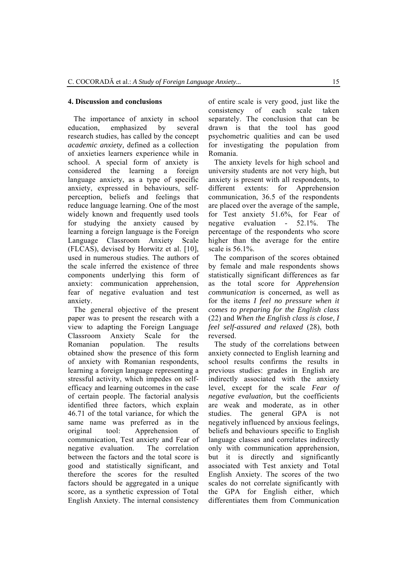### **4. Discussion and conclusions**

The importance of anxiety in school education, emphasized by several research studies, has called by the concept *academic anxiety,* defined as a collection of anxieties learners experience while in school. A special form of anxiety is considered the learning a foreign language anxiety, as a type of specific anxiety, expressed in behaviours, selfperception, beliefs and feelings that reduce language learning. One of the most widely known and frequently used tools for studying the anxiety caused by learning a foreign language is the Foreign Language Classroom Anxiety Scale (FLCAS), devised by Horwitz et al. [10], used in numerous studies. The authors of the scale inferred the existence of three components underlying this form of anxiety: communication apprehension, fear of negative evaluation and test anxiety.

The general objective of the present paper was to present the research with a view to adapting the Foreign Language Classroom Anxiety Scale for the Romanian population. The results obtained show the presence of this form of anxiety with Romanian respondents, learning a foreign language representing a stressful activity, which impedes on selfefficacy and learning outcomes in the case of certain people. The factorial analysis identified three factors, which explain 46.71 of the total variance, for which the same name was preferred as in the original tool: Apprehension of communication, Test anxiety and Fear of negative evaluation. The correlation between the factors and the total score is good and statistically significant, and therefore the scores for the resulted factors should be aggregated in a unique score, as a synthetic expression of Total English Anxiety. The internal consistency of entire scale is very good, just like the consistency of each scale taken separately. The conclusion that can be drawn is that the tool has good psychometric qualities and can be used for investigating the population from Romania.

The anxiety levels for high school and university students are not very high, but anxiety is present with all respondents, to different extents: for Apprehension communication, 36.5 of the respondents are placed over the average of the sample, for Test anxiety 51.6%, for Fear of negative evaluation - 52.1%. The percentage of the respondents who score higher than the average for the entire scale is 56.1%.

The comparison of the scores obtained by female and male respondents shows statistically significant differences as far as the total score for *Apprehension communication* is concerned, as well as for the items *I feel no pressure when it comes to preparing for the English class*  (22) and *When the English class is close, I feel self-assured and relaxed* (28), both reversed.

The study of the correlations between anxiety connected to English learning and school results confirms the results in previous studies: grades in English are indirectly associated with the anxiety level, except for the scale *Fear of negative evaluation,* but the coefficients are weak and moderate, as in other studies. The general GPA is not negatively influenced by anxious feelings, beliefs and behaviours specific to English language classes and correlates indirectly only with communication apprehension, but it is directly and significantly associated with Test anxiety and Total English Anxiety. The scores of the two scales do not correlate significantly with the GPA for English either, which differentiates them from Communication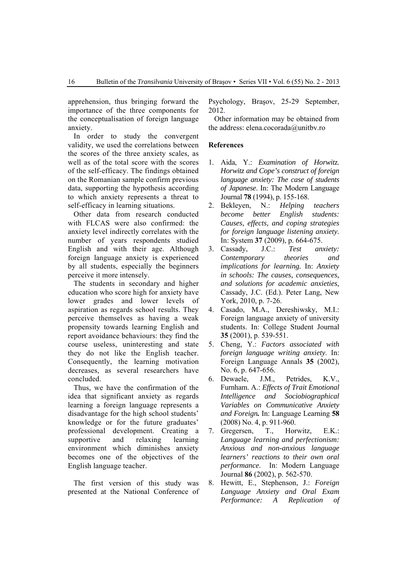apprehension, thus bringing forward the importance of the three components for the conceptualisation of foreign language anxiety.

In order to study the convergent validity, we used the correlations between the scores of the three anxiety scales, as well as of the total score with the scores of the self-efficacy. The findings obtained on the Romanian sample confirm previous data, supporting the hypothesis according to which anxiety represents a threat to self-efficacy in learning situations.

Other data from research conducted with FLCAS were also confirmed: the anxiety level indirectly correlates with the number of years respondents studied English and with their age. Although foreign language anxiety is experienced by all students, especially the beginners perceive it more intensely.

The students in secondary and higher education who score high for anxiety have lower grades and lower levels of aspiration as regards school results. They perceive themselves as having a weak propensity towards learning English and report avoidance behaviours: they find the course useless, uninteresting and state they do not like the English teacher. Consequently, the learning motivation decreases, as several researchers have concluded.

Thus, we have the confirmation of the idea that significant anxiety as regards learning a foreign language represents a disadvantage for the high school students' knowledge or for the future graduates' professional development. Creating a supportive and relaxing learning environment which diminishes anxiety becomes one of the objectives of the English language teacher.

The first version of this study was presented at the National Conference of

Psychology, Braşov, 25-29 September, 2012.

Other information may be obtained from the address: elena.cocorada@unitbv.ro

## **References**

- 1. Aida, Y.: *Examination of Horwitz. Horwitz and Cope's construct of foreign language anxiety: The case of students of Japanese*. In: The Modern Language Journal **78** (1994), p. 155-168.
- 2. Bekleyen, N.: *Helping teachers become better English students: Causes, effects, and coping strategies for foreign language listening anxiety.*  In: System **37** (2009), p. 664-675.
- 3. Cassady, J.C.: *Test anxiety: Contemporary theories and implications for learning.* In: *Anxiety in schools: The causes, consequences, and solutions for academic anxieties,*  Cassady, J.C. (Ed.). Peter Lang, New York, 2010, p. 7-26.
- 4. Casado, M.A., Dereshiwsky, M.I.: Foreign language anxiety of university students. In: College Student Journal **35** (2001), p. 539-551.
- 5. Cheng, Y.: *Factors associated with foreign language writing anxiety*. In: Foreign Language Annals **35** (2002), No. 6, p. 647-656.
- 6. Dewaele, J.M., Petrides, K.V., Furnham. A.: *Effects of Trait Emotional Intelligence and Sociobiographical Variables on Communicative Anxiety and Foreign.* In: Language Learning **58** (2008) No. 4, p. 911-960.
- 7. Gregersen, T., Horwitz, E.K.: *Language learning and perfectionism: Anxious and non-anxious language learners' reactions to their own oral performance.* In: Modern Language Journal **86** (2002), p. 562-570.
- 8. Hewitt, E., Stephenson, J.: *Foreign Language Anxiety and Oral Exam Performance: A Replication of*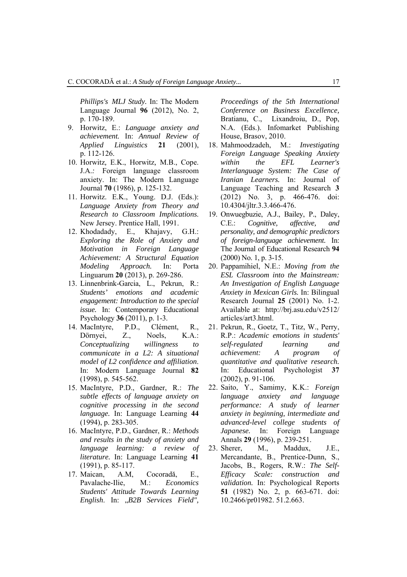*Phillips's MLJ Study.* In: The Modern Language Journal **96** (2012), No. 2, p. 170-189.

- 9. Horwitz, E.: *Language anxiety and achievement.* In: *Annual Review of Applied Linguistics* **21** (2001), p. 112-126.
- 10. Horwitz*,* E.K., Horwitz*,* M.B., Cope. J.A.*:* Foreign language classroom anxiety. In: The Modern Language Journal **70** (1986)*,* p. 125-132.
- 11. Horwitz. E.K., Young. D.J. (Eds.): *Language Anxiety from Theory and Research to Classroom Implications*. New Jersey. Prentice Hall, 1991.
- 12. Khodadady, E., Khajavy, G.H.: *Exploring the Role of Anxiety and Motivation in Foreign Language Achievement: A Structural Equation Modeling Approach.* In: Porta Linguarum **20** (2013), p. 269-286.
- 13. Linnenbrink-Garcia, L., Pekrun, R.: *Students' emotions and academic engagement: Introduction to the special issue.* In: Contemporary Educational Psychology **36** (2011), p. 1-3.
- 14. MacIntyre, P.D., Clément, R., Dörnyei, Z., Noels, K.A.: *Conceptualizing willingness to communicate in a L2: A situational model of L2 confidence and affiliation*. In: Modern Language Journal **82** (1998), p. 545-562.
- 15. MacIntyre, P.D., Gardner, R.: *The subtle effects of language anxiety on cognitive processing in the second language.* In: Language Learning **44** (1994), p. 283-305.
- 16. MacIntyre, P.D., Gardner, R.: *Methods and results in the study of anxiety and language learning: a review of literature.* In: Language Learning **41** (1991), p. 85-117.
- 17. Maican, A.M, Cocoradă, E., Pavalache-Ilie, M.: *Economics Students' Attitude Towards Learning English.* In:  $B2B$  *Services Field",*

*Proceedings of the 5th International Conference on Business Excellence,*  Bratianu, C., Lixandroiu, D., Pop, N.A. (Eds.). Infomarket Publishing House, Brasov, 2010.

- 18. Mahmoodzadeh, M.: *Investigating Foreign Language Speaking Anxiety within the EFL Learner's Interlanguage System: The Case of Iranian Learners.* In: Journal of Language Teaching and Research **3** (2012) No. 3, p. 466-476. doi: 10.4304/jltr.3.3.466-476.
- 19. Onwuegbuzie, A.J., Bailey, P., Daley, C.E.: *Cognitive, affective, and personality, and demographic predictors of foreign-language achievement.* In: The Journal of Educational Research **94** (2000) No. 1, p. 3-15.
- 20. Pappamihiel, N.E.: *Moving from the ESL Classroom into the Mainstream: An Investigation of English Language Anxiety in Mexican Girls.* In: Bilingual Research Journal **25** (2001) No. 1-2. Available at: http://brj.asu.edu/v2512/ articles/art3.html.
- 21. Pekrun, R., Goetz, T., Titz, W., Perry, R.P.: *Academic emotions in students' self-regulated learning and achievement: A program of quantitative and qualitative research.* In: Educational Psychologist **37** (2002), p. 91-106.
- 22. Saito, Y., Samimy, K.K.: *Foreign language anxiety and language performance: A study of learner anxiety in beginning, intermediate and advanced-level college students of Japanese.* In: Foreign Language Annals **29** (1996), p. 239-251.
- 23. Sherer, M., Maddux, J.E., Mercandante, B., Prentice-Dunn, S., Jacobs, B., Rogers, R.W.: *The Self-Efficacy Scale: construction and validation.* In: Psychological Reports **51** (1982) No. 2, p. 663-671. doi: 10.2466/pr01982. 51.2.663.